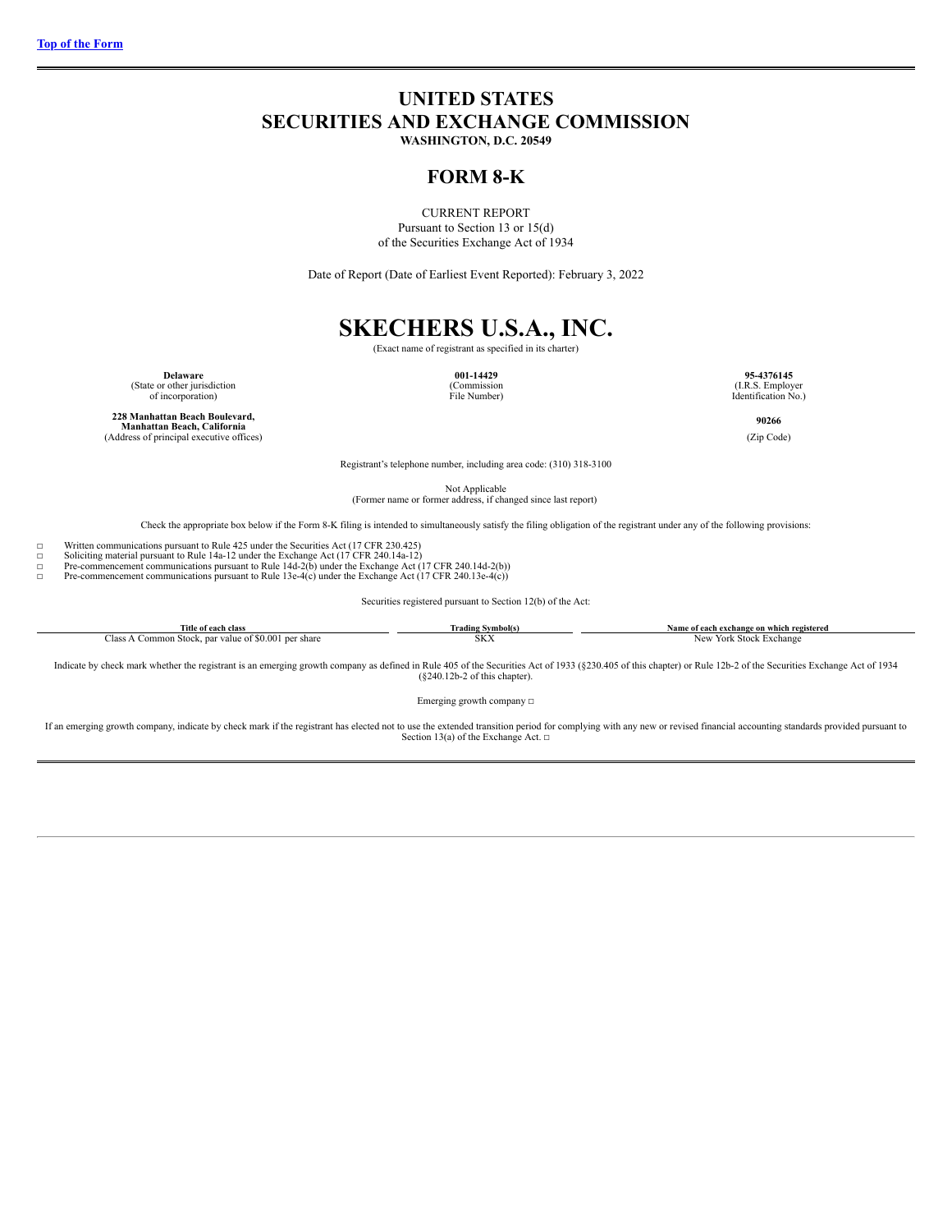# <span id="page-0-0"></span>**UNITED STATES SECURITIES AND EXCHANGE COMMISSION**

**WASHINGTON, D.C. 20549**

# **FORM 8-K**

CURRENT REPORT Pursuant to Section 13 or 15(d) of the Securities Exchange Act of 1934

Date of Report (Date of Earliest Event Reported): February 3, 2022

# **SKECHERS U.S.A., INC.** (Exact name of registrant as specified in its charter)

**Delaware 001-14429 95-4376145**<br>
(State or other jurisdiction **95-4376145** (Commission **95-4376145 95-4376145** 

of incorporation) File Number) Identification No.)

**228 Manhattan Beach Boulevard, Manhattan Beach, California**(Address of principal executive offices)
(Zip Code)
(Cap Code)
(Cap Code)
(Address of principal executive offices)

**90266**

Registrant's telephone number, including area code: (310) 318-3100

Not Applicable (Former name or former address, if changed since last report)

Check the appropriate box below if the Form 8-K filing is intended to simultaneously satisfy the filing obligation of the registrant under any of the following provisions:

☐ Written communications pursuant to Rule 425 under the Securities Act (17 CFR 230.425) ☐ Soliciting material pursuant to Rule 14a-12 under the Exchange Act (17 CFR 240.14a-12)

□ Pre-commencement communications pursuant to Rule 14d-2(b) under the Exchange Act (17 CFR 240.14d-2(b))<br>Pre-commencement communications pursuant to Rule 13e-4(c) under the Exchange Act (17 CFR 240.13e-4(c))

Pre-commencement communications pursuant to Rule 13e-4 $(c)$  under the Exchange Act  $(17 \text{ CFR } 240.13 \text{e-}4(c))$ 

Securities registered pursuant to Section 12(b) of the Act:

| <b>Title</b><br>of each class                                     | Trading Symbol(s) | h exchange on which registered<br>Name of each |
|-------------------------------------------------------------------|-------------------|------------------------------------------------|
| par value of \$0.001<br>l per share<br>. Common Stock,<br>-iass A | CONT.<br>oΛΛ      | York Stock<br>Exchange<br><b>New</b>           |

Indicate by check mark whether the registrant is an emerging growth company as defined in Rule 405 of the Securities Act of 1933 (§230.405 of this chapter) or Rule 12b-2 of the Securities Exchange Act of 1934 (§240.12b-2 o

Emerging growth company  $\Box$ 

If an emerging growth company, indicate by check mark if the registrant has elected not to use the extended transition period for complying with any new or revised financial accounting standards provided pursuant to<br>Secti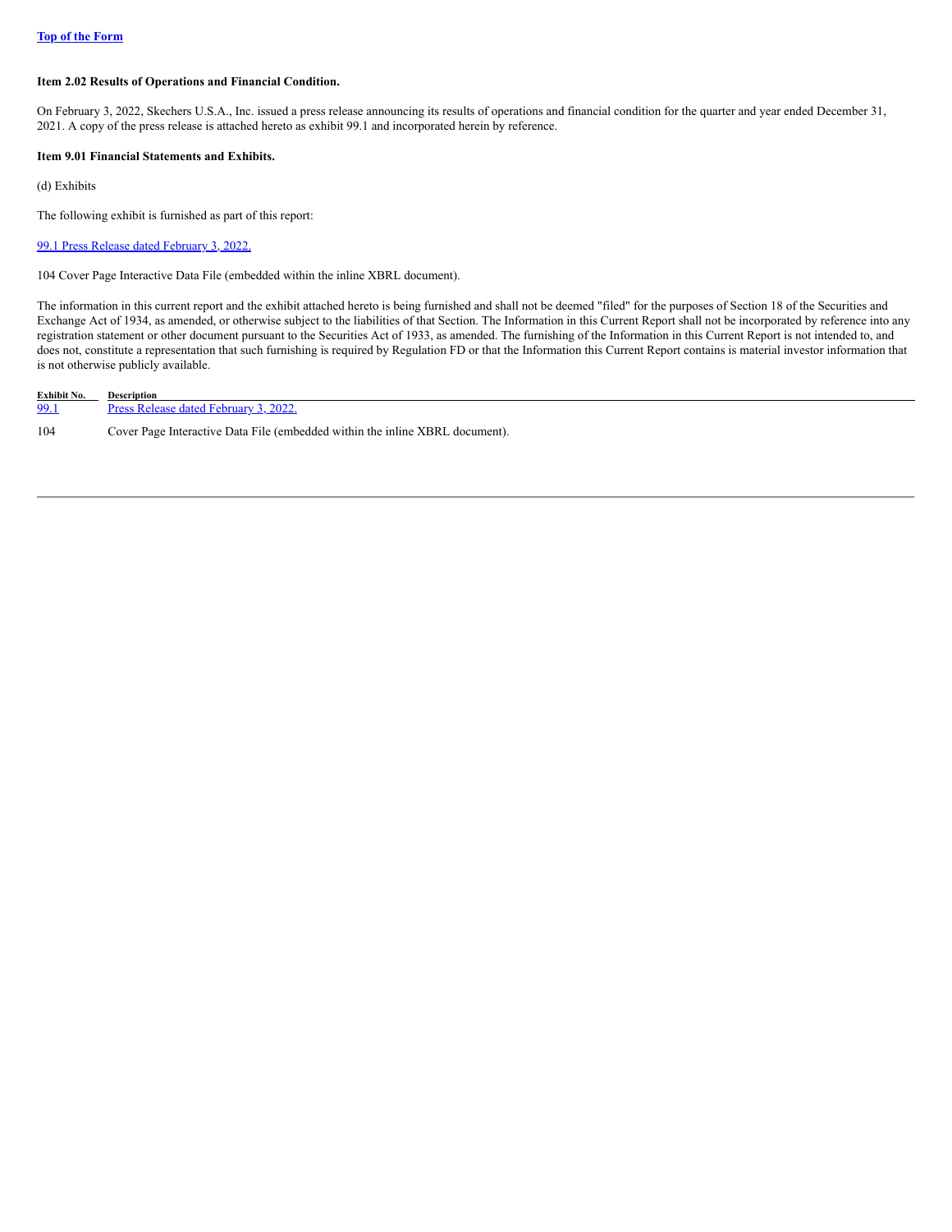# **Item 2.02 Results of Operations and Financial Condition.**

On February 3, 2022, Skechers U.S.A., Inc. issued a press release announcing its results of operations and financial condition for the quarter and year ended December 31, 2021. A copy of the press release is attached hereto as exhibit 99.1 and incorporated herein by reference.

# **Item 9.01 Financial Statements and Exhibits.**

(d) Exhibits

The following exhibit is furnished as part of this report:

99.1 Press Release dated [February](https://s3.amazonaws.com/content.stockpr.com/sec/0001564590-22-003825/skx-ex991_6.htm) 3, 2022.

104 Cover Page Interactive Data File (embedded within the inline XBRL document).

The information in this current report and the exhibit attached hereto is being furnished and shall not be deemed "filed" for the purposes of Section 18 of the Securities and Exchange Act of 1934, as amended, or otherwise subject to the liabilities of that Section. The Information in this Current Report shall not be incorporated by reference into any registration statement or other document pursuant to the Securities Act of 1933, as amended. The furnishing of the Information in this Current Report is not intended to, and does not, constitute a representation that such furnishing is required by Regulation FD or that the Information this Current Report contains is material investor information that is not otherwise publicly available.

| Exhibit No. | <b>Description</b>                                                           |
|-------------|------------------------------------------------------------------------------|
| 99.1        | Press Release dated February 3, 2022.                                        |
| 104         | Cover Page Interactive Data File (embedded within the inline XBRL document). |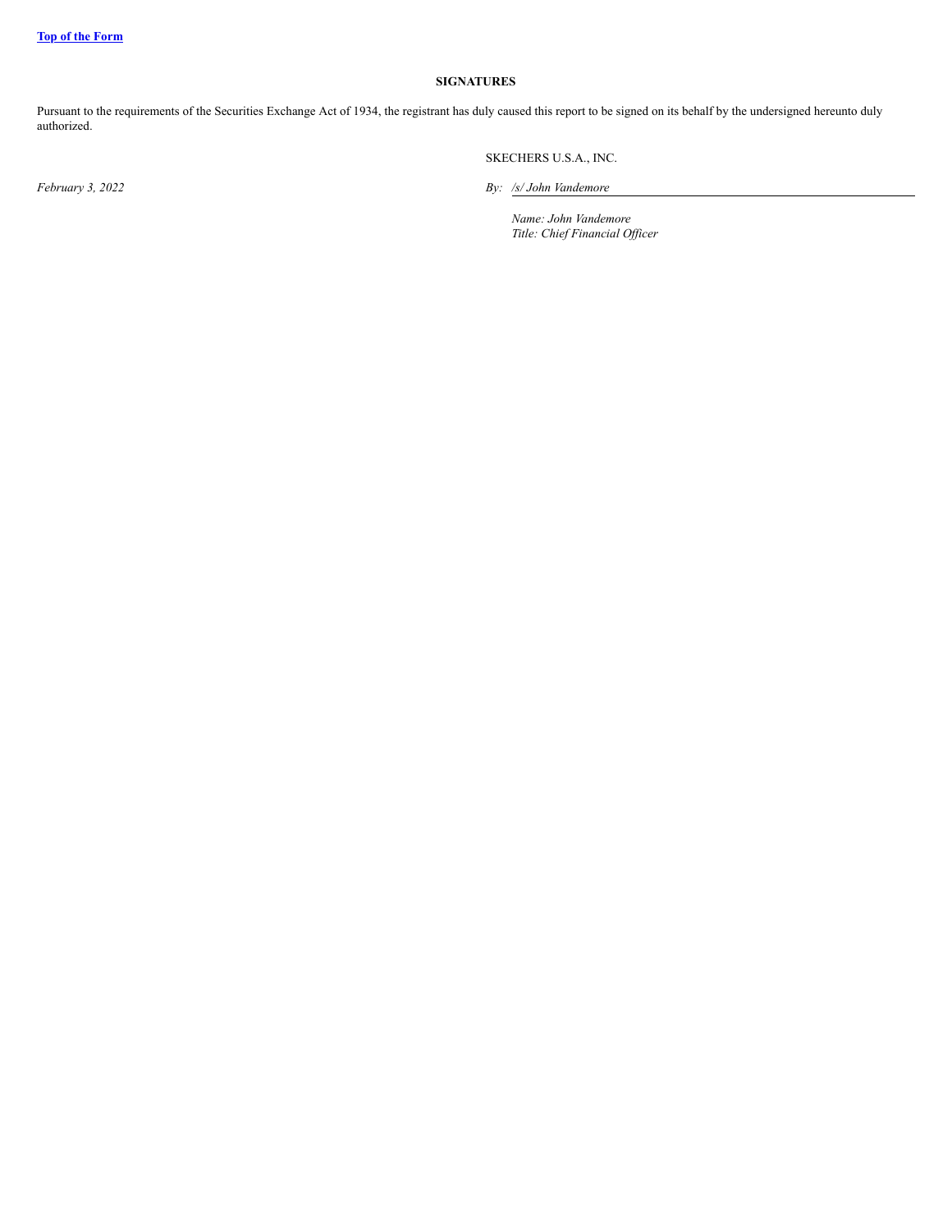# **SIGNATURES**

Pursuant to the requirements of the Securities Exchange Act of 1934, the registrant has duly caused this report to be signed on its behalf by the undersigned hereunto duly authorized.

SKECHERS U.S.A., INC.

*February 3, 2022 By: /s/ John Vandemore*

*Name: John Vandemore Title: Chief Financial Of icer*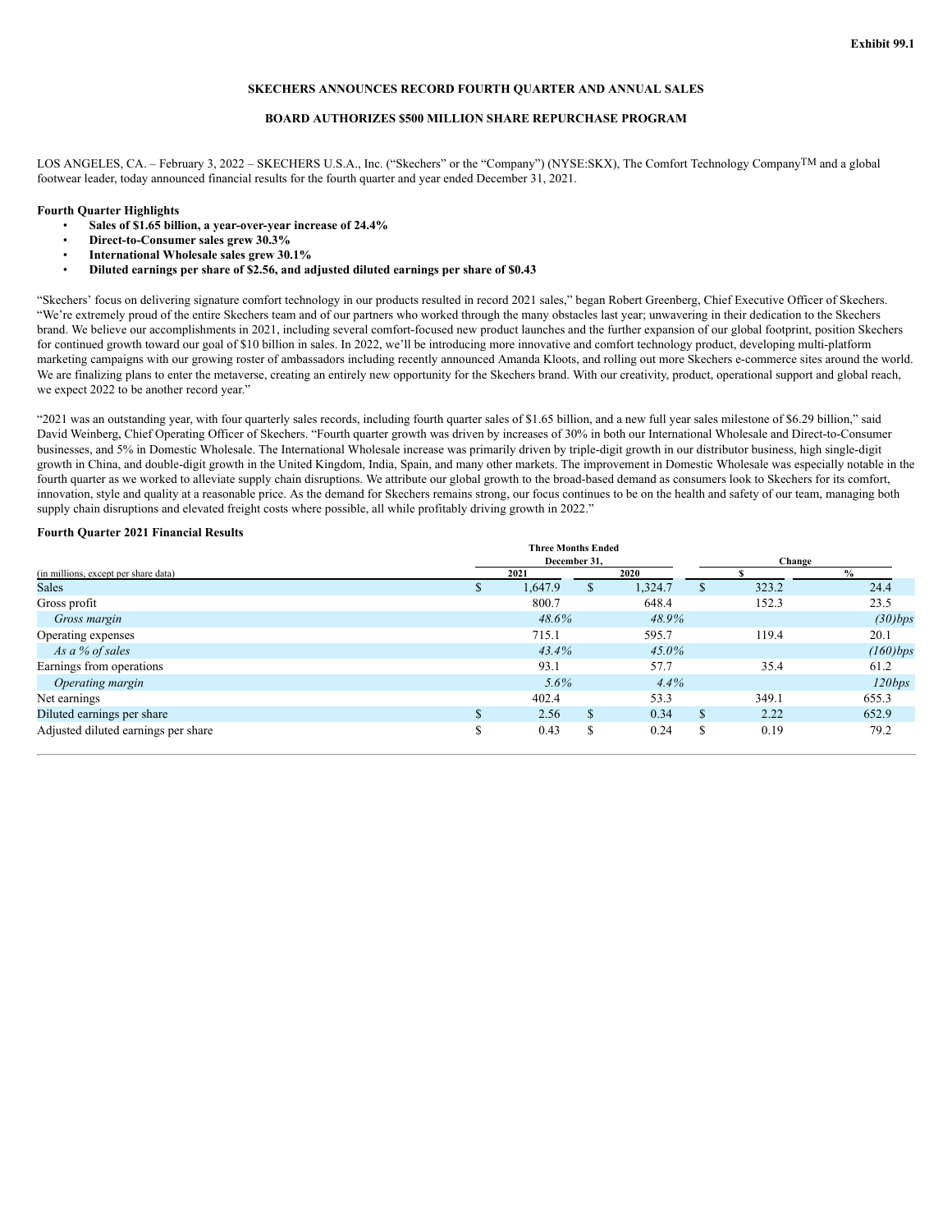# **SKECHERS ANNOUNCES RECORD FOURTH QUARTER AND ANNUAL SALES**

## **BOARD AUTHORIZES \$500 MILLION SHARE REPURCHASE PROGRAM**

LOS ANGELES, CA. – February 3, 2022 – SKECHERS U.S.A., Inc. ("Skechers" or the "Company") (NYSE:SKX), The Comfort Technology CompanyTM and a global footwear leader, today announced financial results for the fourth quarter and year ended December 31, 2021.

# **Fourth Quarter Highlights**

- **Sales of \$1.65 billion, a year-over-year increase of 24.4%**
- **Direct-to-Consumer sales grew 30.3%**
- **International Wholesale sales grew 30.1%**
- **Diluted earnings per share of \$2.56, and adjusted diluted earnings per share of \$0.43**

"Skechers' focus on delivering signature comfort technology in our products resulted in record 2021 sales," began Robert Greenberg, Chief Executive Officer of Skechers. "We're extremely proud of the entire Skechers team and of our partners who worked through the many obstacles last year; unwavering in their dedication to the Skechers brand. We believe our accomplishments in 2021, including several comfort-focused new product launches and the further expansion of our global footprint, position Skechers for continued growth toward our goal of \$10 billion in sales. In 2022, we'll be introducing more innovative and comfort technology product, developing multi-platform marketing campaigns with our growing roster of ambassadors including recently announced Amanda Kloots, and rolling out more Skechers e-commerce sites around the world. We are finalizing plans to enter the metaverse, creating an entirely new opportunity for the Skechers brand. With our creativity, product, operational support and global reach, we expect 2022 to be another record year."

"2021 was an outstanding year, with four quarterly sales records, including fourth quarter sales of \$1.65 billion, and a new full year sales milestone of \$6.29 billion," said David Weinberg, Chief Operating Officer of Skechers. "Fourth quarter growth was driven by increases of 30% in both our International Wholesale and Direct-to-Consumer businesses, and 5% in Domestic Wholesale. The International Wholesale increase was primarily driven by triple-digit growth in our distributor business, high single-digit growth in China, and double-digit growth in the United Kingdom, India, Spain, and many other markets. The improvement in Domestic Wholesale was especially notable in the fourth quarter as we worked to alleviate supply chain disruptions. We attribute our global growth to the broad-based demand as consumers look to Skechers for its comfort, innovation, style and quality at a reasonable price. As the demand for Skechers remains strong, our focus continues to be on the health and safety of our team, managing both supply chain disruptions and elevated freight costs where possible, all while profitably driving growth in 2022."

#### **Fourth Quarter 2021 Financial Results**

|                                      | <b>Three Months Ended</b> |        |          |    |       |               |
|--------------------------------------|---------------------------|--------|----------|----|-------|---------------|
|                                      | December 31.              | Change |          |    |       |               |
| (in millions, except per share data) | 2021                      |        | 2020     |    |       | $\frac{0}{0}$ |
| <b>Sales</b>                         | 1.647.9                   |        | 1,324.7  | Ж  | 323.2 | 24.4          |
| Gross profit                         | 800.7                     |        | 648.4    |    | 152.3 | 23.5          |
| Gross margin                         | 48.6%                     |        | 48.9%    |    |       | (30)bps       |
| Operating expenses                   | 715.1                     |        | 595.7    |    | 119.4 | 20.1          |
| As a % of sales                      | 43.4%                     |        | $45.0\%$ |    |       | $(160)$ bps   |
| Earnings from operations             | 93.1                      |        | 57.7     |    | 35.4  | 61.2          |
| Operating margin                     | $5.6\%$                   |        | 4.4%     |    |       | 120bps        |
| Net earnings                         | 402.4                     |        | 53.3     |    | 349.1 | 655.3         |
| Diluted earnings per share           | 2.56                      | \$     | 0.34     | \$ | 2.22  | 652.9         |
| Adjusted diluted earnings per share  | 0.43                      | S      | 0.24     | S  | 0.19  | 79.2          |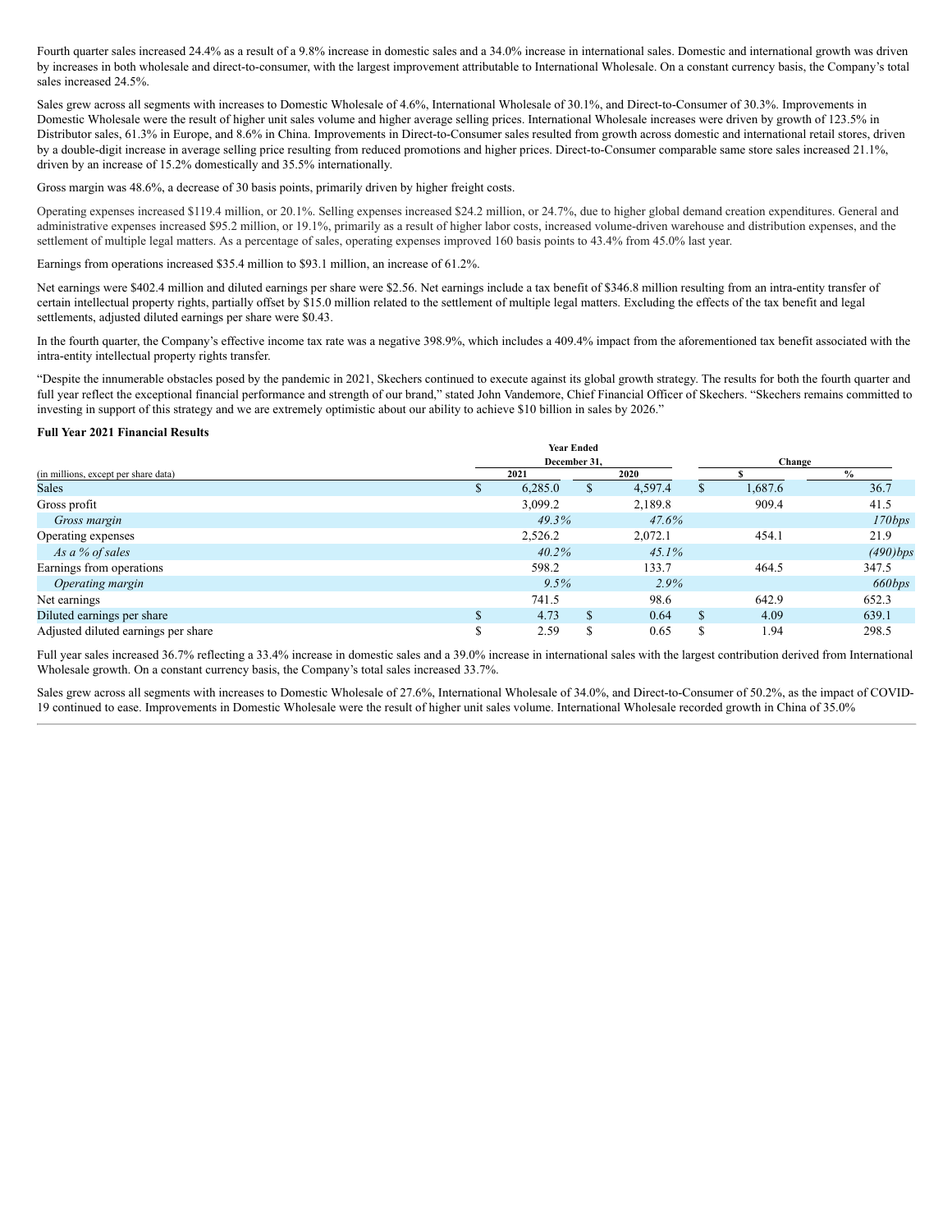Fourth quarter sales increased 24.4% as a result of a 9.8% increase in domestic sales and a 34.0% increase in international sales. Domestic and international growth was driven by increases in both wholesale and direct-to-consumer, with the largest improvement attributable to International Wholesale. On a constant currency basis, the Company's total sales increased 24.5%.

Sales grew across all segments with increases to Domestic Wholesale of 4.6%, International Wholesale of 30.1%, and Direct-to-Consumer of 30.3%. Improvements in Domestic Wholesale were the result of higher unit sales volume and higher average selling prices. International Wholesale increases were driven by growth of 123.5% in Distributor sales, 61.3% in Europe, and 8.6% in China. Improvements in Direct-to-Consumer sales resulted from growth across domestic and international retail stores, driven by a double-digit increase in average selling price resulting from reduced promotions and higher prices. Direct-to-Consumer comparable same store sales increased 21.1%, driven by an increase of 15.2% domestically and 35.5% internationally.

Gross margin was 48.6%, a decrease of 30 basis points, primarily driven by higher freight costs.

Operating expenses increased \$119.4 million, or 20.1%. Selling expenses increased \$24.2 million, or 24.7%, due to higher global demand creation expenditures. General and administrative expenses increased \$95.2 million, or 19.1%, primarily as a result of higher labor costs, increased volume-driven warehouse and distribution expenses, and the settlement of multiple legal matters. As a percentage of sales, operating expenses improved 160 basis points to 43.4% from 45.0% last year.

Earnings from operations increased \$35.4 million to \$93.1 million, an increase of 61.2%.

Net earnings were \$402.4 million and diluted earnings per share were \$2.56. Net earnings include a tax benefit of \$346.8 million resulting from an intra-entity transfer of certain intellectual property rights, partially offset by \$15.0 million related to the settlement of multiple legal matters. Excluding the effects of the tax benefit and legal settlements, adjusted diluted earnings per share were \$0.43.

In the fourth quarter, the Company's effective income tax rate was a negative 398.9%, which includes a 409.4% impact from the aforementioned tax benefit associated with the intra-entity intellectual property rights transfer.

"Despite the innumerable obstacles posed by the pandemic in 2021, Skechers continued to execute against its global growth strategy. The results for both the fourth quarter and full year reflect the exceptional financial performance and strength of our brand," stated John Vandemore, Chief Financial Officer of Skechers. "Skechers remains committed to investing in support of this strategy and we are extremely optimistic about our ability to achieve \$10 billion in sales by 2026."

#### **Full Year 2021 Financial Results**

|                                      |  | <b>Year Ended</b> |        |         |   |         |               |
|--------------------------------------|--|-------------------|--------|---------|---|---------|---------------|
|                                      |  | December 31.      | Change |         |   |         |               |
| (in millions, except per share data) |  | 2021              |        | 2020    |   |         | $\frac{6}{6}$ |
| <b>Sales</b>                         |  | 6,285.0           | ъ      | 4,597.4 | ъ | 1,687.6 | 36.7          |
| Gross profit                         |  | 3,099.2           |        | 2,189.8 |   | 909.4   | 41.5          |
| Gross margin                         |  | 49.3%             |        | 47.6%   |   |         | 170bps        |
| Operating expenses                   |  | 2,526.2           |        | 2,072.1 |   | 454.1   | 21.9          |
| As a % of sales                      |  | $40.2\%$          |        | 45.1%   |   |         | (490)bps      |
| Earnings from operations             |  | 598.2             |        | 133.7   |   | 464.5   | 347.5         |
| Operating margin                     |  | 9.5%              |        | $2.9\%$ |   |         | 660bps        |
| Net earnings                         |  | 741.5             |        | 98.6    |   | 642.9   | 652.3         |
| Diluted earnings per share           |  | 4.73              | S.     | 0.64    | S | 4.09    | 639.1         |
| Adjusted diluted earnings per share  |  | 2.59              | .Ъ     | 0.65    | S | 1.94    | 298.5         |

Full year sales increased 36.7% reflecting a 33.4% increase in domestic sales and a 39.0% increase in international sales with the largest contribution derived from International Wholesale growth. On a constant currency basis, the Company's total sales increased 33.7%.

Sales grew across all segments with increases to Domestic Wholesale of 27.6%, International Wholesale of 34.0%, and Direct-to-Consumer of 50.2%, as the impact of COVID-19 continued to ease. Improvements in Domestic Wholesale were the result of higher unit sales volume. International Wholesale recorded growth in China of 35.0%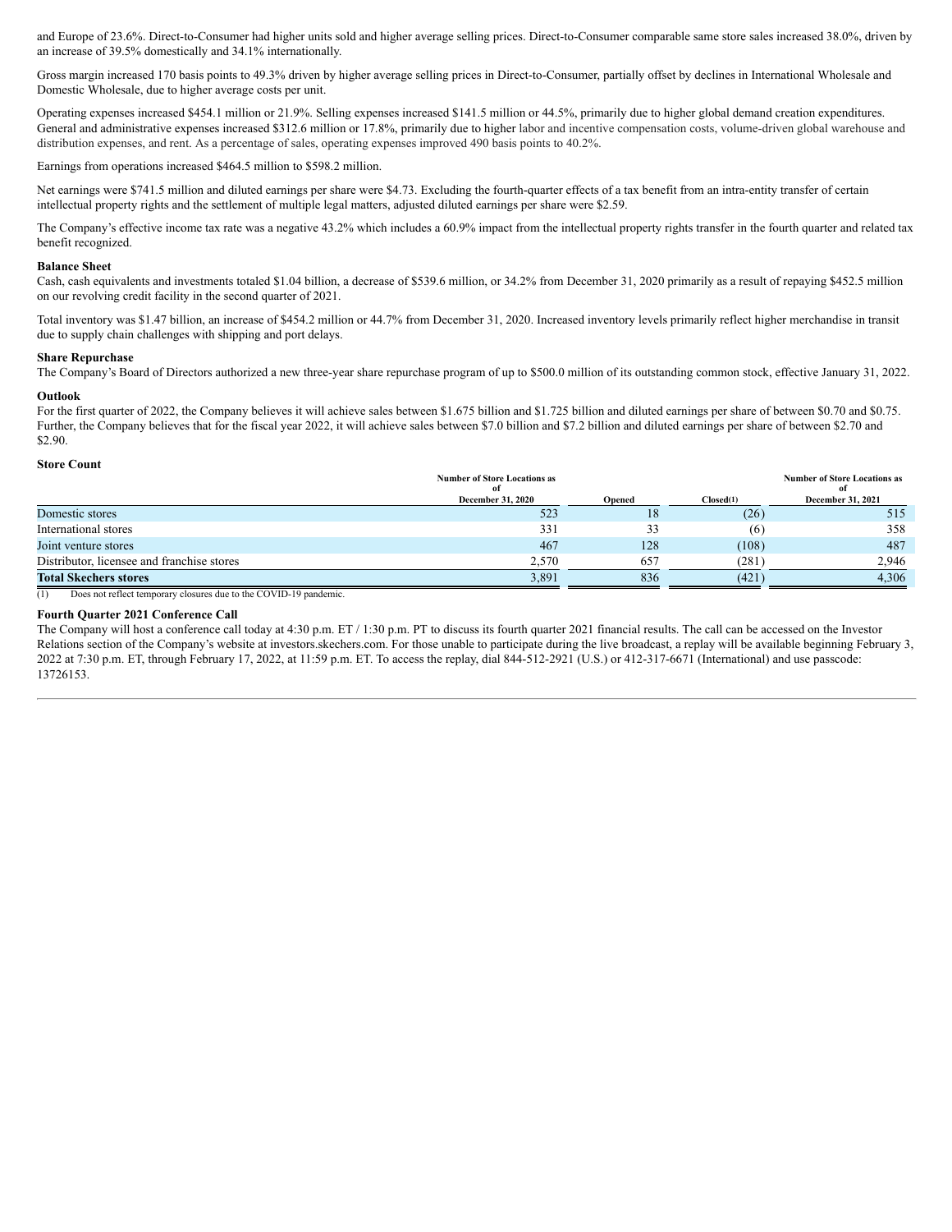and Europe of 23.6%. Direct-to-Consumer had higher units sold and higher average selling prices. Direct-to-Consumer comparable same store sales increased 38.0%, driven by an increase of 39.5% domestically and 34.1% internationally.

Gross margin increased 170 basis points to 49.3% driven by higher average selling prices in Direct-to-Consumer, partially offset by declines in International Wholesale and Domestic Wholesale, due to higher average costs per unit.

Operating expenses increased \$454.1 million or 21.9%. Selling expenses increased \$141.5 million or 44.5%, primarily due to higher global demand creation expenditures. General and administrative expenses increased \$312.6 million or 17.8%, primarily due to higher labor and incentive compensation costs, volume-driven global warehouse and distribution expenses, and rent. As a percentage of sales, operating expenses improved 490 basis points to 40.2%.

Earnings from operations increased \$464.5 million to \$598.2 million.

Net earnings were \$741.5 million and diluted earnings per share were \$4.73. Excluding the fourth-quarter effects of a tax benefit from an intra-entity transfer of certain intellectual property rights and the settlement of multiple legal matters, adjusted diluted earnings per share were \$2.59.

The Company's effective income tax rate was a negative 43.2% which includes a 60.9% impact from the intellectual property rights transfer in the fourth quarter and related tax benefit recognized.

## **Balance Sheet**

Cash, cash equivalents and investments totaled \$1.04 billion, a decrease of \$539.6 million, or 34.2% from December 31, 2020 primarily as a result of repaying \$452.5 million on our revolving credit facility in the second quarter of 2021.

Total inventory was \$1.47 billion, an increase of \$454.2 million or 44.7% from December 31, 2020. Increased inventory levels primarily reflect higher merchandise in transit due to supply chain challenges with shipping and port delays.

# **Share Repurchase**

The Company's Board of Directors authorized a new three-year share repurchase program of up to \$500.0 million of its outstanding common stock, effective January 31, 2022.

#### **Outlook**

For the first quarter of 2022, the Company believes it will achieve sales between \$1.675 billion and \$1.725 billion and diluted earnings per share of between \$0.70 and \$0.75. Further, the Company believes that for the fiscal year 2022, it will achieve sales between \$7.0 billion and \$7.2 billion and diluted earnings per share of between \$2.70 and \$2.90.

## **Store Count**

|                                            | <b>Number of Store Locations as</b><br>of |        |           | <b>Number of Store Locations as</b><br>of |
|--------------------------------------------|-------------------------------------------|--------|-----------|-------------------------------------------|
|                                            | <b>December 31, 2020</b>                  | Opened | Closed(1) | December 31, 2021                         |
| Domestic stores                            | 523                                       | 18     | (26)      | 515                                       |
| International stores                       | 331                                       | 33     | (6)       | 358                                       |
| Joint venture stores                       | 467                                       | 128    | (108)     | 487                                       |
| Distributor, licensee and franchise stores | 2.570                                     | 657    | (281)     | 2,946                                     |
| <b>Total Skechers stores</b>               | 3,891                                     | 836    | (421)     | 4,306                                     |

(1) Does not reflect temporary closures due to the COVID-19 pandemic.

# **Fourth Quarter 2021 Conference Call**

The Company will host a conference call today at 4:30 p.m. ET / 1:30 p.m. PT to discuss its fourth quarter 2021 financial results. The call can be accessed on the Investor Relations section of the Company's website at investors.skechers.com. For those unable to participate during the live broadcast, a replay will be available beginning February 3, 2022 at 7:30 p.m. ET, through February 17, 2022, at 11:59 p.m. ET. To access the replay, dial 844-512-2921 (U.S.) or 412-317-6671 (International) and use passcode: 13726153.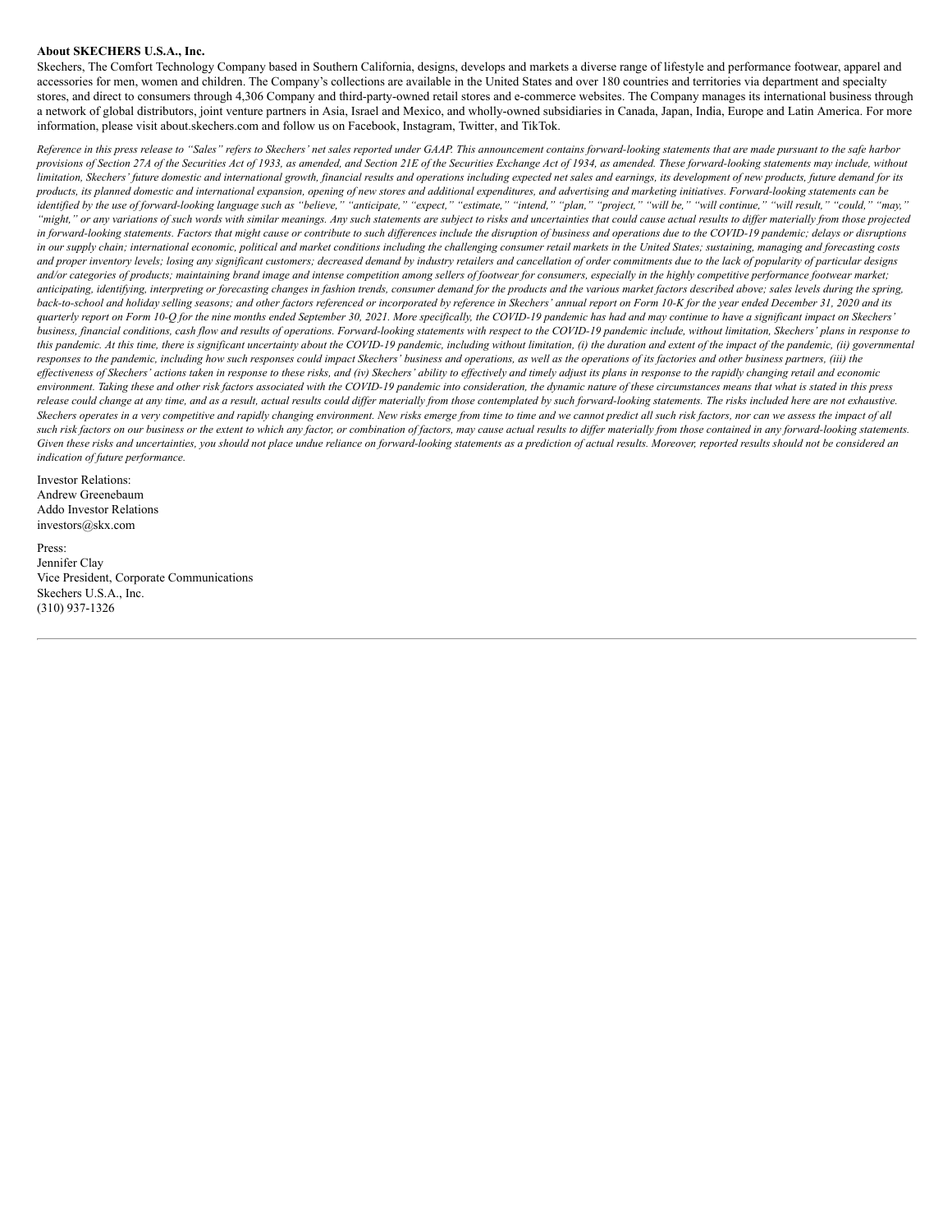# **About SKECHERS U.S.A., Inc.**

Skechers, The Comfort Technology Company based in Southern California, designs, develops and markets a diverse range of lifestyle and performance footwear, apparel and accessories for men, women and children. The Company's collections are available in the United States and over 180 countries and territories via department and specialty stores, and direct to consumers through 4,306 Company and third-party-owned retail stores and e-commerce websites. The Company manages its international business through a network of global distributors, joint venture partners in Asia, Israel and Mexico, and wholly-owned subsidiaries in Canada, Japan, India, Europe and Latin America. For more information, please visit about.skechers.com and follow us on Facebook, Instagram, Twitter, and TikTok.

*Reference in this press release to "Sales" refers to Skechers' net sales reported under GAAP. This announcement contains forward-looking statements that are made pursuant to the safe harbor provisions of Section 27A of the Securities Act of 1933, as amended, and Section 21E of the Securities Exchange Act of 1934, as amended. These forward-looking statements may include, without limitation, Skechers' future domestic and international growth, financial results and operations including expected net sales and earnings, its development of new products, future demand for its products, its planned domestic and international expansion, opening of new stores and additional expenditures, and advertising and marketing initiatives. Forward-looking statements can be identified by the use of forward-looking language such as "believe," "anticipate," "expect," "estimate," "intend," "plan," "project," "will be," "will continue," "will result," "could," "may," "might," or any variations of such words with similar meanings. Any such statements are subject to risks and uncertainties that could cause actual results to differ materially from those projected in forward-looking statements. Factors that might cause or contribute to such differences include the disruption of business and operations due to the COVID-19 pandemic; delays or disruptions in our supply chain; international economic, political and market conditions including the challenging consumer retail markets in the United States; sustaining, managing and forecasting costs and proper inventory levels; losing any significant customers; decreased demand by industry retailers and cancellation of order commitments due to the lack of popularity of particular designs and/or categories of products; maintaining brand image and intense competition among sellers of footwear for consumers, especially in the highly competitive performance footwear market; anticipating, identifying, interpreting or forecasting changes in fashion trends, consumer demand for the products and the various market factors described above; sales levels during the spring, back-to-school and holiday selling seasons; and other factors referenced or incorporated by reference in Skechers' annual report on Form 10-K for the year ended December 31, 2020 and its quarterly report on Form 10-Q for the nine months ended September 30, 2021. More specifically, the COVID-19 pandemic has had and may continue to have a significant impact on Skechers' business, financial conditions, cash flow and results of operations. Forward-looking statements with respect to the COVID-19 pandemic include, without limitation, Skechers' plans in response to this pandemic. At this time, there is significant uncertainty about the COVID-19 pandemic, including without limitation, (i) the duration and extent of the impact of the pandemic, (ii) governmental responses to the pandemic, including how such responses could impact Skechers' business and operations, as well as the operations of its factories and other business partners, (iii) the effectiveness of Skechers' actions taken in response to these risks, and (iv) Skechers' ability to effectively and timely adjust its plans in response to the rapidly changing retail and economic environment. Taking these and other risk factors associated with the COVID-19 pandemic into consideration, the dynamic nature of these circumstances means that what is stated in this press release could change at any time, and as a result, actual results could differ materially from those contemplated by such forward-looking statements. The risks included here are not exhaustive. Skechers operates in a very competitive and rapidly changing environment. New risks emerge from time to time and we cannot predict all such risk factors, nor can we assess the impact of all such risk factors on our business or the extent to which any factor, or combination of factors, may cause actual results to differ materially from those contained in any forward-looking statements. Given these risks and uncertainties, you should not place undue reliance on forward-looking statements as a prediction of actual results. Moreover, reported results should not be considered an indication of future performance.*

Investor Relations: Andrew Greenebaum Addo Investor Relations investors@skx.com

Press: Jennifer Clay Vice President, Corporate Communications Skechers U.S.A., Inc. (310) 937-1326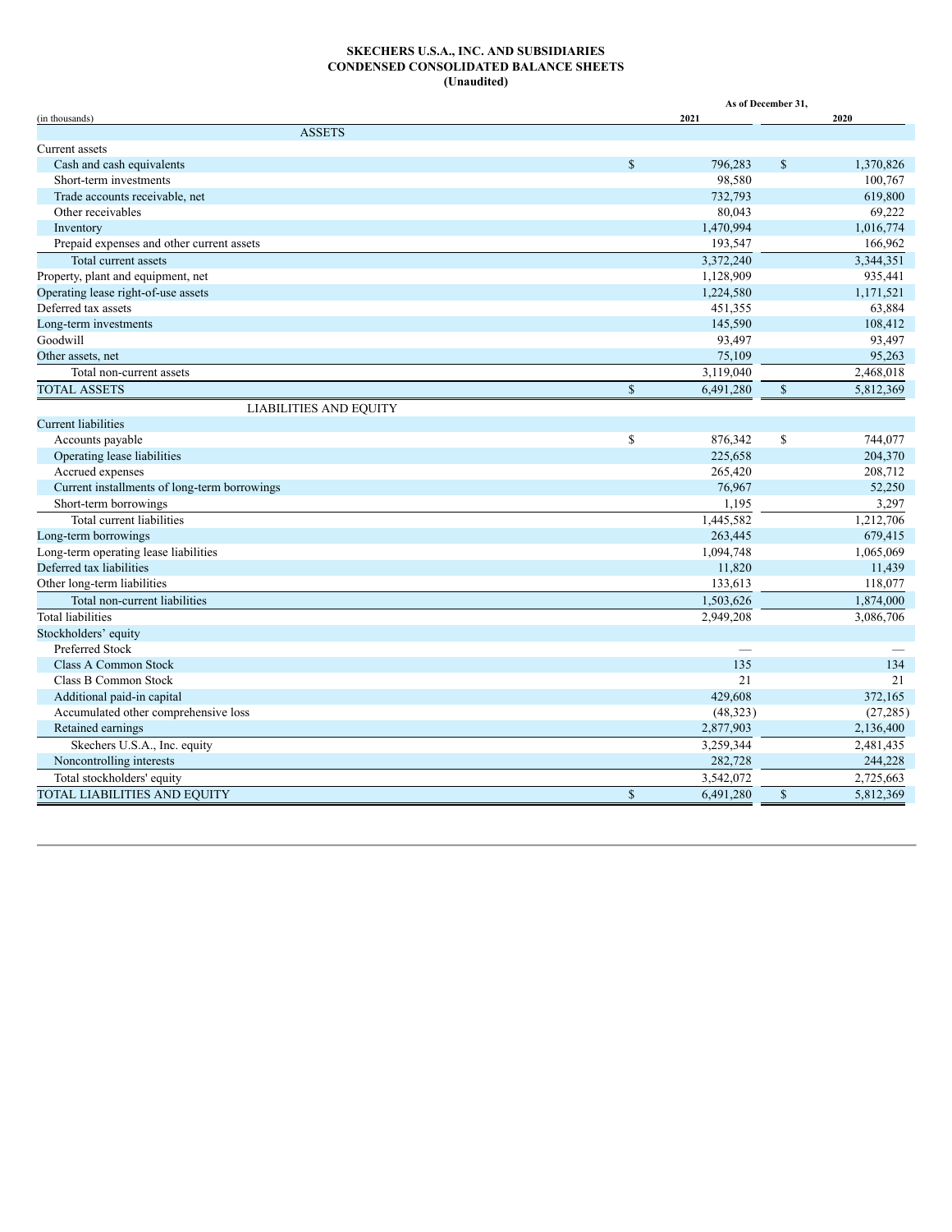#### **SKECHERS U.S.A., INC. AND SUBSIDIARIES CONDENSED CONSOLIDATED BALANCE SHEETS (Unaudited)**

|                                              |              | As of December 31, |              |           |  |  |  |  |
|----------------------------------------------|--------------|--------------------|--------------|-----------|--|--|--|--|
| (in thousands)                               |              | 2021               |              | 2020      |  |  |  |  |
| <b>ASSETS</b>                                |              |                    |              |           |  |  |  |  |
| Current assets                               |              |                    |              |           |  |  |  |  |
| Cash and cash equivalents                    | $\mathbf S$  | 796.283            | $\mathbf S$  | 1.370.826 |  |  |  |  |
| Short-term investments                       |              | 98,580             |              | 100,767   |  |  |  |  |
| Trade accounts receivable, net               |              | 732,793            |              | 619,800   |  |  |  |  |
| Other receivables                            |              | 80,043             |              | 69,222    |  |  |  |  |
| Inventory                                    |              | 1,470,994          |              | 1,016,774 |  |  |  |  |
| Prepaid expenses and other current assets    |              | 193,547            |              | 166,962   |  |  |  |  |
| Total current assets                         |              | 3,372,240          |              | 3,344,351 |  |  |  |  |
| Property, plant and equipment, net           |              | 1,128,909          |              | 935,441   |  |  |  |  |
| Operating lease right-of-use assets          |              | 1,224,580          |              | 1,171,521 |  |  |  |  |
| Deferred tax assets                          |              | 451,355            |              | 63,884    |  |  |  |  |
| Long-term investments                        |              | 145,590            |              | 108,412   |  |  |  |  |
| Goodwill                                     |              | 93,497             |              | 93,497    |  |  |  |  |
| Other assets, net                            |              | 75,109             |              | 95,263    |  |  |  |  |
| Total non-current assets                     |              | 3,119,040          |              | 2,468,018 |  |  |  |  |
| <b>TOTAL ASSETS</b>                          | $\mathbf S$  | 6,491,280          | \$           | 5,812,369 |  |  |  |  |
| <b>LIABILITIES AND EQUITY</b>                |              |                    |              |           |  |  |  |  |
| <b>Current liabilities</b>                   |              |                    |              |           |  |  |  |  |
| Accounts payable                             | $\mathbb{S}$ | 876,342            | \$           | 744,077   |  |  |  |  |
| Operating lease liabilities                  |              | 225,658            |              | 204,370   |  |  |  |  |
| Accrued expenses                             |              | 265,420            |              | 208,712   |  |  |  |  |
| Current installments of long-term borrowings |              | 76,967             |              | 52,250    |  |  |  |  |
| Short-term borrowings                        |              | 1,195              |              | 3,297     |  |  |  |  |
| Total current liabilities                    |              | 1,445,582          |              | 1,212,706 |  |  |  |  |
| Long-term borrowings                         |              | 263,445            |              | 679,415   |  |  |  |  |
| Long-term operating lease liabilities        |              | 1,094,748          |              | 1,065,069 |  |  |  |  |
| Deferred tax liabilities                     |              | 11,820             |              | 11,439    |  |  |  |  |
| Other long-term liabilities                  |              | 133,613            |              | 118,077   |  |  |  |  |
| Total non-current liabilities                |              | 1,503,626          |              | 1,874,000 |  |  |  |  |
| <b>Total liabilities</b>                     |              | 2,949,208          |              | 3,086,706 |  |  |  |  |
| Stockholders' equity                         |              |                    |              |           |  |  |  |  |
| Preferred Stock                              |              |                    |              |           |  |  |  |  |
| <b>Class A Common Stock</b>                  |              | 135                |              | 134       |  |  |  |  |
| Class B Common Stock                         |              | 21                 |              | 21        |  |  |  |  |
| Additional paid-in capital                   |              | 429,608            |              | 372,165   |  |  |  |  |
| Accumulated other comprehensive loss         |              | (48, 323)          |              | (27, 285) |  |  |  |  |
| Retained earnings                            |              | 2,877,903          |              | 2,136,400 |  |  |  |  |
| Skechers U.S.A., Inc. equity                 |              | 3,259,344          |              | 2,481,435 |  |  |  |  |
| Noncontrolling interests                     |              | 282,728            |              | 244,228   |  |  |  |  |
| Total stockholders' equity                   |              | 3,542,072          |              | 2,725,663 |  |  |  |  |
| TOTAL LIABILITIES AND EQUITY                 | $\mathbf S$  | 6,491,280          | $\mathbb{S}$ | 5,812,369 |  |  |  |  |
|                                              |              |                    |              |           |  |  |  |  |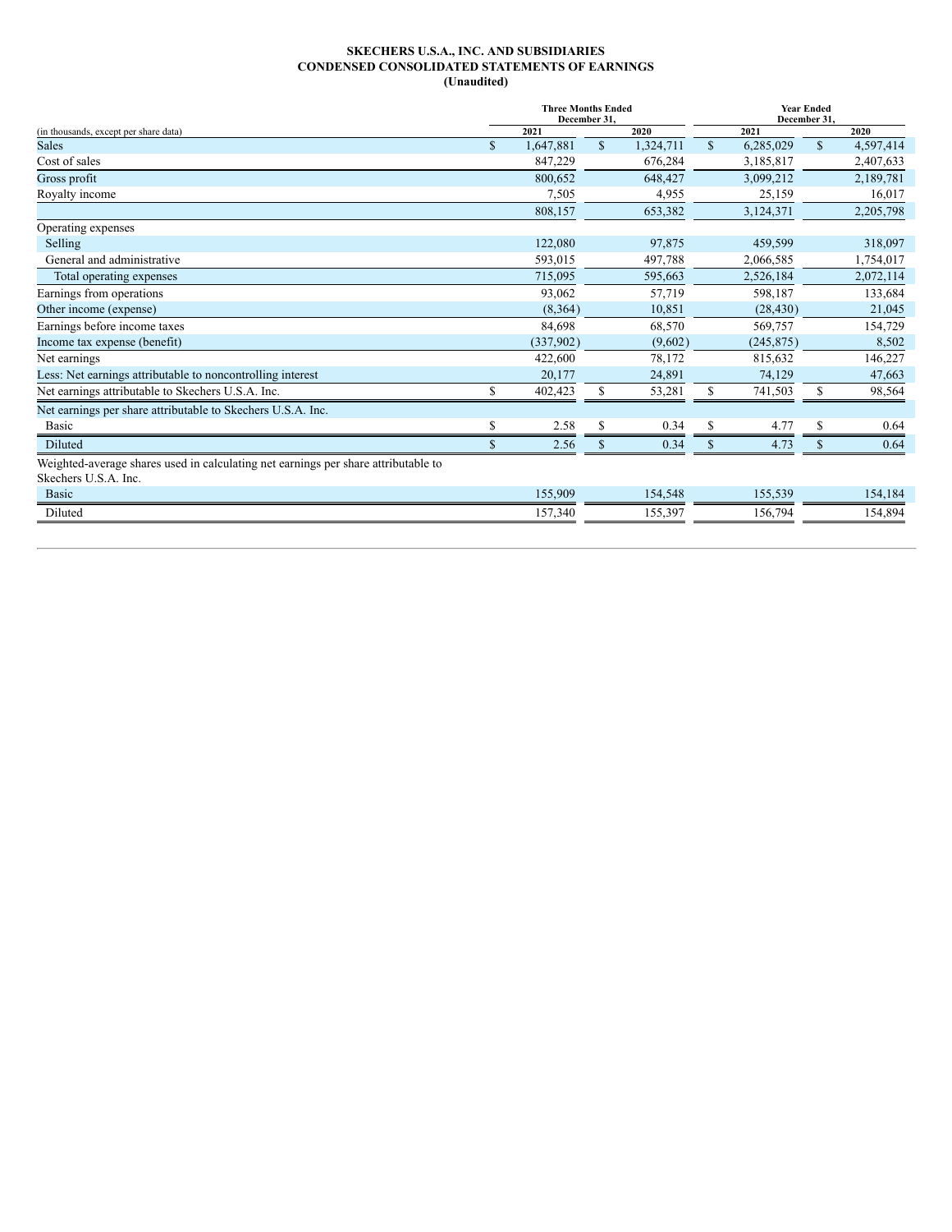## **SKECHERS U.S.A., INC. AND SUBSIDIARIES CONDENSED CONSOLIDATED STATEMENTS OF EARNINGS (Unaudited)**

|                                                                                    |               | <b>Three Months Ended</b><br>December 31, |              |           | <b>Year Ended</b><br>December 31, |            |              |           |  |
|------------------------------------------------------------------------------------|---------------|-------------------------------------------|--------------|-----------|-----------------------------------|------------|--------------|-----------|--|
| (in thousands, except per share data)                                              |               | 2021                                      |              | 2020      |                                   | 2021       |              | 2020      |  |
| <b>Sales</b>                                                                       | $\mathcal{S}$ | 1,647,881                                 | $\mathbb{S}$ | 1,324,711 | $\mathbf S$                       | 6,285,029  | $\mathbb{S}$ | 4,597,414 |  |
| Cost of sales                                                                      |               | 847,229                                   |              | 676,284   |                                   | 3,185,817  |              | 2,407,633 |  |
| Gross profit                                                                       |               | 800,652                                   |              | 648,427   |                                   | 3,099,212  |              | 2,189,781 |  |
| Royalty income                                                                     |               | 7,505                                     |              | 4,955     |                                   | 25,159     |              | 16,017    |  |
|                                                                                    |               | 808,157                                   |              | 653,382   |                                   | 3,124,371  |              | 2,205,798 |  |
| Operating expenses                                                                 |               |                                           |              |           |                                   |            |              |           |  |
| Selling                                                                            |               | 122,080                                   |              | 97,875    |                                   | 459,599    |              | 318,097   |  |
| General and administrative                                                         |               | 593,015                                   |              | 497,788   |                                   | 2,066,585  |              | 1,754,017 |  |
| Total operating expenses                                                           |               | 715,095                                   |              | 595,663   |                                   | 2,526,184  |              | 2,072,114 |  |
| Earnings from operations                                                           |               | 93,062                                    |              | 57,719    |                                   | 598,187    |              | 133,684   |  |
| Other income (expense)                                                             |               | (8,364)                                   |              | 10,851    |                                   | (28, 430)  |              | 21,045    |  |
| Earnings before income taxes                                                       |               | 84,698                                    |              | 68,570    |                                   | 569,757    |              | 154,729   |  |
| Income tax expense (benefit)                                                       |               | (337,902)                                 |              | (9,602)   |                                   | (245, 875) |              | 8,502     |  |
| Net earnings                                                                       |               | 422,600                                   |              | 78,172    |                                   | 815,632    |              | 146,227   |  |
| Less: Net earnings attributable to noncontrolling interest                         |               | 20,177                                    |              | 24,891    |                                   | 74,129     |              | 47,663    |  |
| Net earnings attributable to Skechers U.S.A. Inc.                                  | S             | 402,423                                   | \$           | 53,281    | \$                                | 741,503    | \$           | 98,564    |  |
| Net earnings per share attributable to Skechers U.S.A. Inc.                        |               |                                           |              |           |                                   |            |              |           |  |
| Basic                                                                              | \$            | 2.58                                      | \$           | 0.34      | \$                                | 4.77       | \$           | 0.64      |  |
| Diluted                                                                            | $\mathbb{S}$  | 2.56                                      | S            | 0.34      | $\mathbb{S}$                      | 4.73       | \$.          | 0.64      |  |
| Weighted-average shares used in calculating net earnings per share attributable to |               |                                           |              |           |                                   |            |              |           |  |
| Skechers U.S.A. Inc.                                                               |               |                                           |              |           |                                   |            |              |           |  |
| <b>Basic</b>                                                                       |               | 155,909                                   |              | 154,548   |                                   | 155,539    |              | 154,184   |  |
| Diluted                                                                            |               | 157,340                                   |              | 155,397   |                                   | 156,794    |              | 154,894   |  |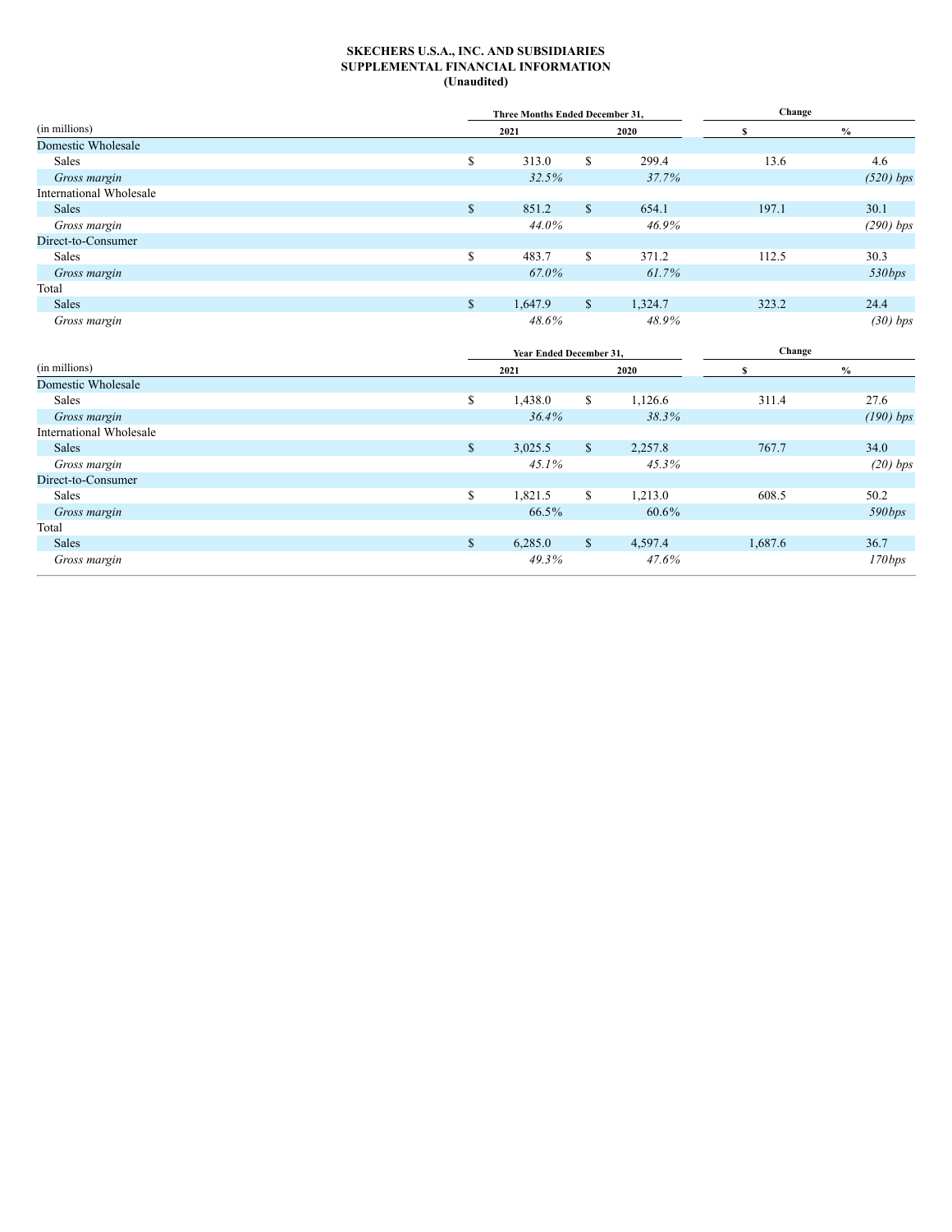## **SKECHERS U.S.A., INC. AND SUBSIDIARIES SUPPLEMENTAL FINANCIAL INFORMATION (Unaudited)**

|                         |              | Three Months Ended December 31, |              |         | Change |             |
|-------------------------|--------------|---------------------------------|--------------|---------|--------|-------------|
| (in millions)           |              | 2021                            |              | 2020    |        | $\%$        |
| Domestic Wholesale      |              |                                 |              |         |        |             |
| Sales                   | S            | 313.0                           | S.           | 299.4   | 13.6   | 4.6         |
| Gross margin            |              | 32.5%                           |              | 37.7%   |        | $(520)$ bps |
| International Wholesale |              |                                 |              |         |        |             |
| Sales                   | \$           | 851.2                           | $\mathbb{S}$ | 654.1   | 197.1  | 30.1        |
| Gross margin            |              | 44.0%                           |              | 46.9%   |        | $(290)$ bps |
| Direct-to-Consumer      |              |                                 |              |         |        |             |
| Sales                   | \$           | 483.7                           | \$           | 371.2   | 112.5  | 30.3        |
| Gross margin            |              | 67.0%                           |              | 61.7%   |        | 530bps      |
| Total                   |              |                                 |              |         |        |             |
| Sales                   | $\mathbb{S}$ | 1,647.9                         | \$           | 1,324.7 | 323.2  | 24.4        |
| Gross margin            |              | 48.6%                           |              | 48.9%   |        | $(30)$ bps  |

|                         |              | Year Ended December 31, |              |         | Change  |             |
|-------------------------|--------------|-------------------------|--------------|---------|---------|-------------|
| (in millions)           |              | 2021                    |              | 2020    |         | $\%$        |
| Domestic Wholesale      |              |                         |              |         |         |             |
| Sales                   | S            | 1,438.0                 | \$           | 1,126.6 | 311.4   | 27.6        |
| Gross margin            |              | 36.4%                   |              | 38.3%   |         | $(190)$ bps |
| International Wholesale |              |                         |              |         |         |             |
| Sales                   | $\mathbb{S}$ | 3,025.5                 | \$           | 2,257.8 | 767.7   | 34.0        |
| Gross margin            |              | 45.1%                   |              | 45.3%   |         | $(20)$ bps  |
| Direct-to-Consumer      |              |                         |              |         |         |             |
| Sales                   | S            | 1,821.5                 | \$           | 1,213.0 | 608.5   | 50.2        |
| Gross margin            |              | 66.5%                   |              | 60.6%   |         | 590bps      |
| Total                   |              |                         |              |         |         |             |
| Sales                   | \$           | 6,285.0                 | $\mathbb{S}$ | 4,597.4 | 1,687.6 | 36.7        |
| Gross margin            |              | 49.3%                   |              | 47.6%   |         | 170bps      |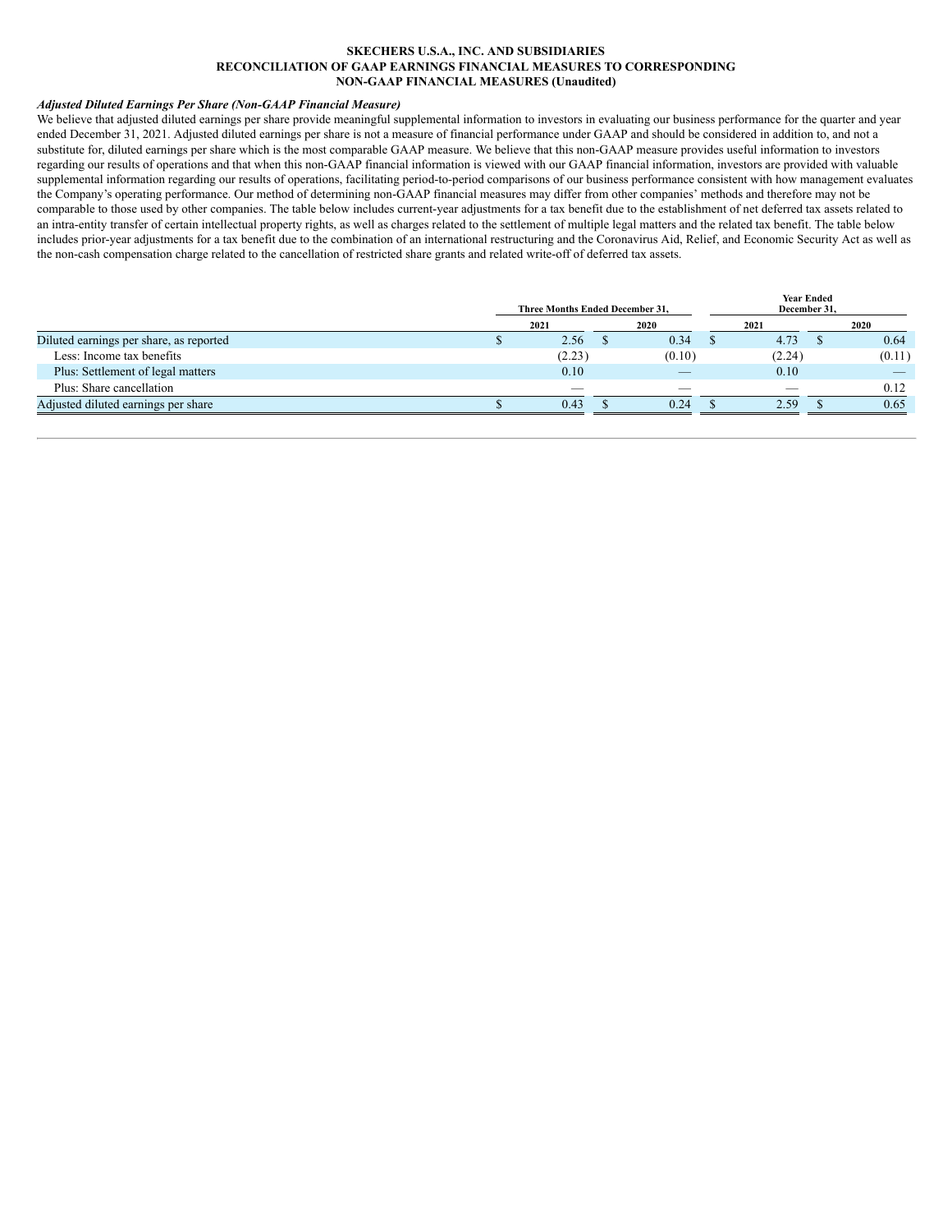# **SKECHERS U.S.A., INC. AND SUBSIDIARIES RECONCILIATION OF GAAP EARNINGS FINANCIAL MEASURES TO CORRESPONDING NON-GAAP FINANCIAL MEASURES (Unaudited)**

# *Adjusted Diluted Earnings Per Share (Non-GAAP Financial Measure)*

We believe that adjusted diluted earnings per share provide meaningful supplemental information to investors in evaluating our business performance for the quarter and year ended December 31, 2021. Adjusted diluted earnings per share is not a measure of financial performance under GAAP and should be considered in addition to, and not a substitute for, diluted earnings per share which is the most comparable GAAP measure. We believe that this non-GAAP measure provides useful information to investors regarding our results of operations and that when this non-GAAP financial information is viewed with our GAAP financial information, investors are provided with valuable supplemental information regarding our results of operations, facilitating period-to-period comparisons of our business performance consistent with how management evaluates the Company's operating performance. Our method of determining non-GAAP financial measures may differ from other companies' methods and therefore may not be comparable to those used by other companies. The table below includes current-year adjustments for a tax benefit due to the establishment of net deferred tax assets related to an intra-entity transfer of certain intellectual property rights, as well as charges related to the settlement of multiple legal matters and the related tax benefit. The table below includes prior-year adjustments for a tax benefit due to the combination of an international restructuring and the Coronavirus Aid, Relief, and Economic Security Act as well as the non-cash compensation charge related to the cancellation of restricted share grants and related write-off of deferred tax assets.

|                                         | Three Months Ended December 31, |        | <b>Year Ended</b><br>December 31, |        |  |        |
|-----------------------------------------|---------------------------------|--------|-----------------------------------|--------|--|--------|
|                                         | 2021                            | 2020   |                                   | 2021   |  | 2020   |
| Diluted earnings per share, as reported | 2.56                            | 0.34   |                                   | 4.73   |  | 0.64   |
| Less: Income tax benefits               | (2.23)                          | (0.10) |                                   | (2.24) |  | (0.11) |
| Plus: Settlement of legal matters       | 0.10                            |        |                                   | 0.10   |  |        |
| Plus: Share cancellation                |                                 |        |                                   |        |  | 0.12   |
| Adjusted diluted earnings per share     | 0.43                            | 0.24   |                                   | 2.59   |  | 0.65   |